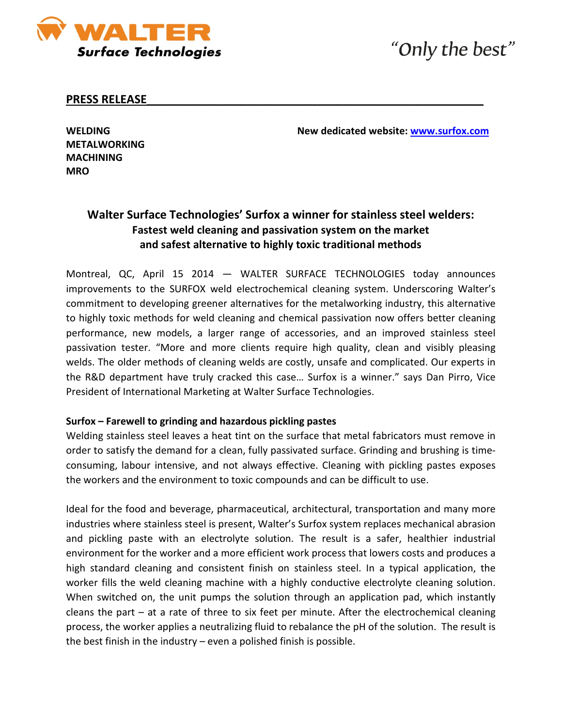

# "Only the best"

### **PRESS RELEASE**\_\_\_\_\_\_\_\_\_\_\_\_\_\_\_\_\_\_\_\_\_\_\_\_\_\_\_\_\_\_\_\_\_\_\_\_\_\_\_\_\_\_\_\_\_\_\_\_\_\_\_\_\_\_\_\_\_\_\_\_\_\_\_\_\_\_\_

**WELDING New dedicated website: [www.surfox.com](http://www.surfox.com/)**

**METALWORKING MACHINING MRO**

# **Walter Surface Technologies' Surfox a winner for stainless steel welders: Fastest weld cleaning and passivation system on the market and safest alternative to highly toxic traditional methods**

Montreal, QC, April 15 2014 — WALTER SURFACE TECHNOLOGIES today announces improvements to the SURFOX weld electrochemical cleaning system. Underscoring Walter's commitment to developing greener alternatives for the metalworking industry, this alternative to highly toxic methods for weld cleaning and chemical passivation now offers better cleaning performance, new models, a larger range of accessories, and an improved stainless steel passivation tester. "More and more clients require high quality, clean and visibly pleasing welds. The older methods of cleaning welds are costly, unsafe and complicated. Our experts in the R&D department have truly cracked this case… Surfox is a winner." says Dan Pirro, Vice President of International Marketing at Walter Surface Technologies.

#### **Surfox – Farewell to grinding and hazardous pickling pastes**

Welding stainless steel leaves a heat tint on the surface that metal fabricators must remove in order to satisfy the demand for a clean, fully passivated surface. Grinding and brushing is timeconsuming, labour intensive, and not always effective. Cleaning with pickling pastes exposes the workers and the environment to toxic compounds and can be difficult to use.

Ideal for the food and beverage, pharmaceutical, architectural, transportation and many more industries where stainless steel is present, Walter's Surfox system replaces mechanical abrasion and pickling paste with an electrolyte solution. The result is a safer, healthier industrial environment for the worker and a more efficient work process that lowers costs and produces a high standard cleaning and consistent finish on stainless steel. In a typical application, the worker fills the weld cleaning machine with a highly conductive electrolyte cleaning solution. When switched on, the unit pumps the solution through an application pad, which instantly cleans the part – at a rate of three to six feet per minute. After the electrochemical cleaning process, the worker applies a neutralizing fluid to rebalance the pH of the solution. The result is the best finish in the industry – even a polished finish is possible.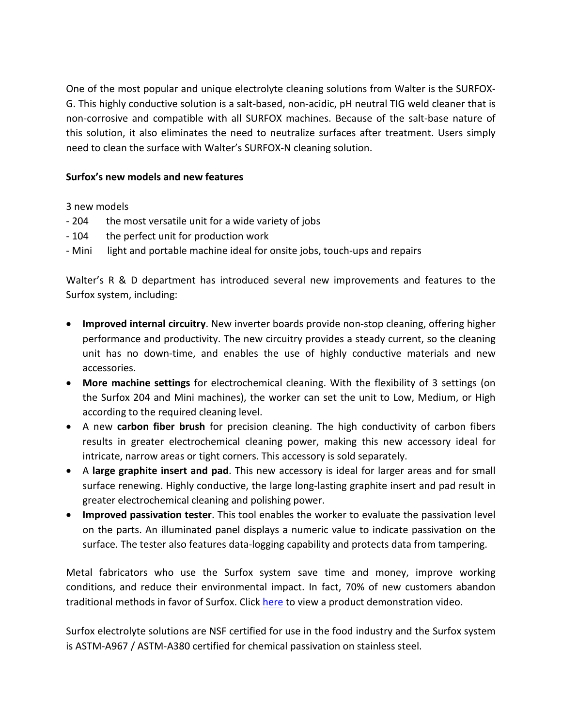One of the most popular and unique electrolyte cleaning solutions from Walter is the SURFOX-G. This highly conductive solution is a salt-based, non-acidic, pH neutral TIG weld cleaner that is non-corrosive and compatible with all SURFOX machines. Because of the salt-base nature of this solution, it also eliminates the need to neutralize surfaces after treatment. Users simply need to clean the surface with Walter's SURFOX-N cleaning solution.

## **Surfox's new models and new features**

3 new models

- 204 the most versatile unit for a wide variety of jobs
- 104 the perfect unit for production work
- Mini light and portable machine ideal for onsite jobs, touch-ups and repairs

Walter's R & D department has introduced several new improvements and features to the Surfox system, including:

- **Improved internal circuitry**. New inverter boards provide non-stop cleaning, offering higher performance and productivity. The new circuitry provides a steady current, so the cleaning unit has no down-time, and enables the use of highly conductive materials and new accessories.
- **More machine settings** for electrochemical cleaning. With the flexibility of 3 settings (on the Surfox 204 and Mini machines), the worker can set the unit to Low, Medium, or High according to the required cleaning level.
- A new **carbon fiber brush** for precision cleaning. The high conductivity of carbon fibers results in greater electrochemical cleaning power, making this new accessory ideal for intricate, narrow areas or tight corners. This accessory is sold separately.
- A **large graphite insert and pad**. This new accessory is ideal for larger areas and for small surface renewing. Highly conductive, the large long-lasting graphite insert and pad result in greater electrochemical cleaning and polishing power.
- **Improved passivation tester**. This tool enables the worker to evaluate the passivation level on the parts. An illuminated panel displays a numeric value to indicate passivation on the surface. The tester also features data-logging capability and protects data from tampering.

Metal fabricators who use the Surfox system save time and money, improve working conditions, and reduce their environmental impact. In fact, 70% of new customers abandon traditional methods in favor of Surfox. Click [here](http://walter.com/twn/en/homePage?p_item_id=15&p_video_id=1) to view a product demonstration video.

Surfox electrolyte solutions are NSF certified for use in the food industry and the Surfox system is ASTM-A967 / ASTM-A380 certified for chemical passivation on stainless steel.